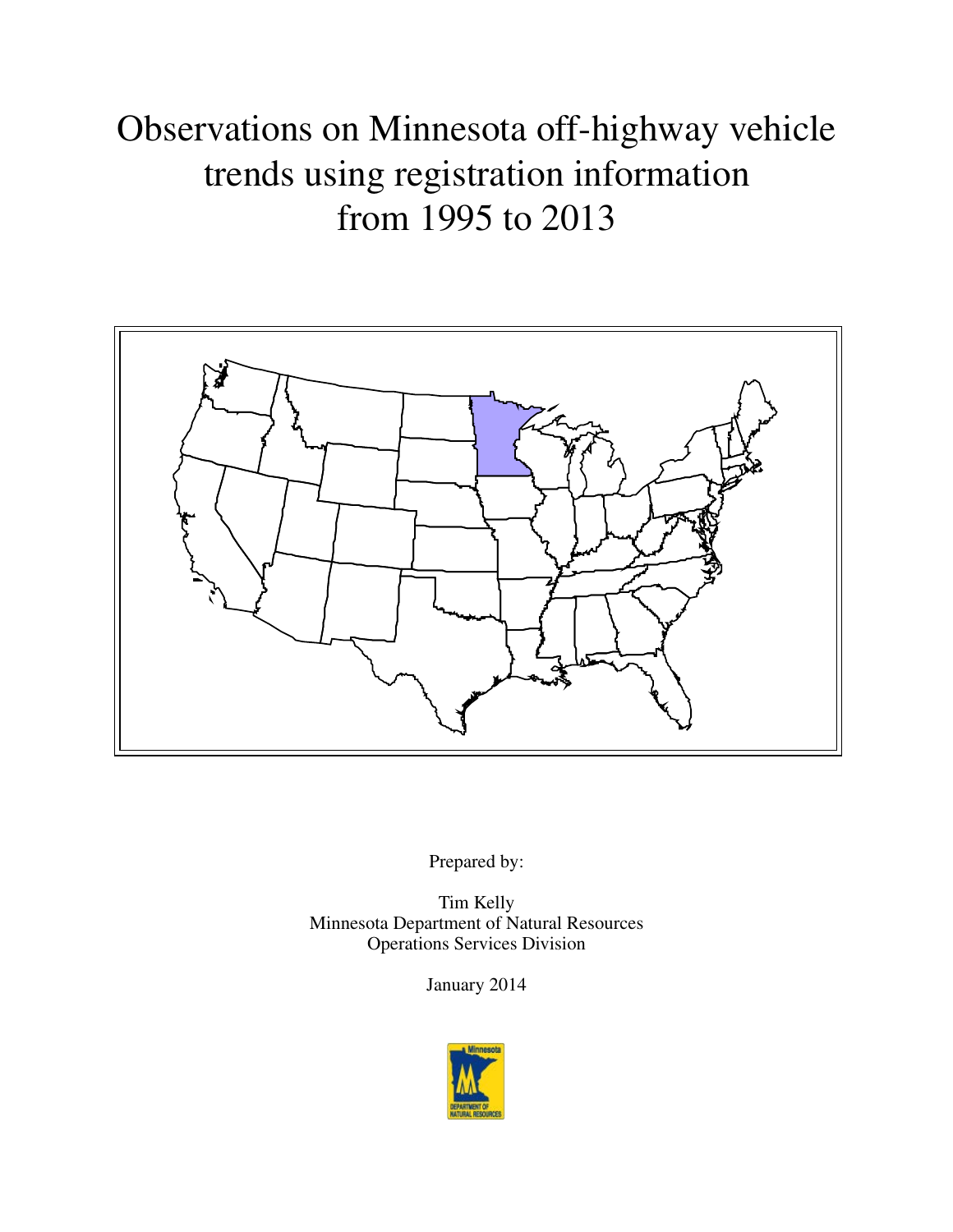# Observations on Minnesota off-highway vehicle trends using registration information from 1995 to 2013



Prepared by:

Tim Kelly Minnesota Department of Natural Resources Operations Services Division

January 2014

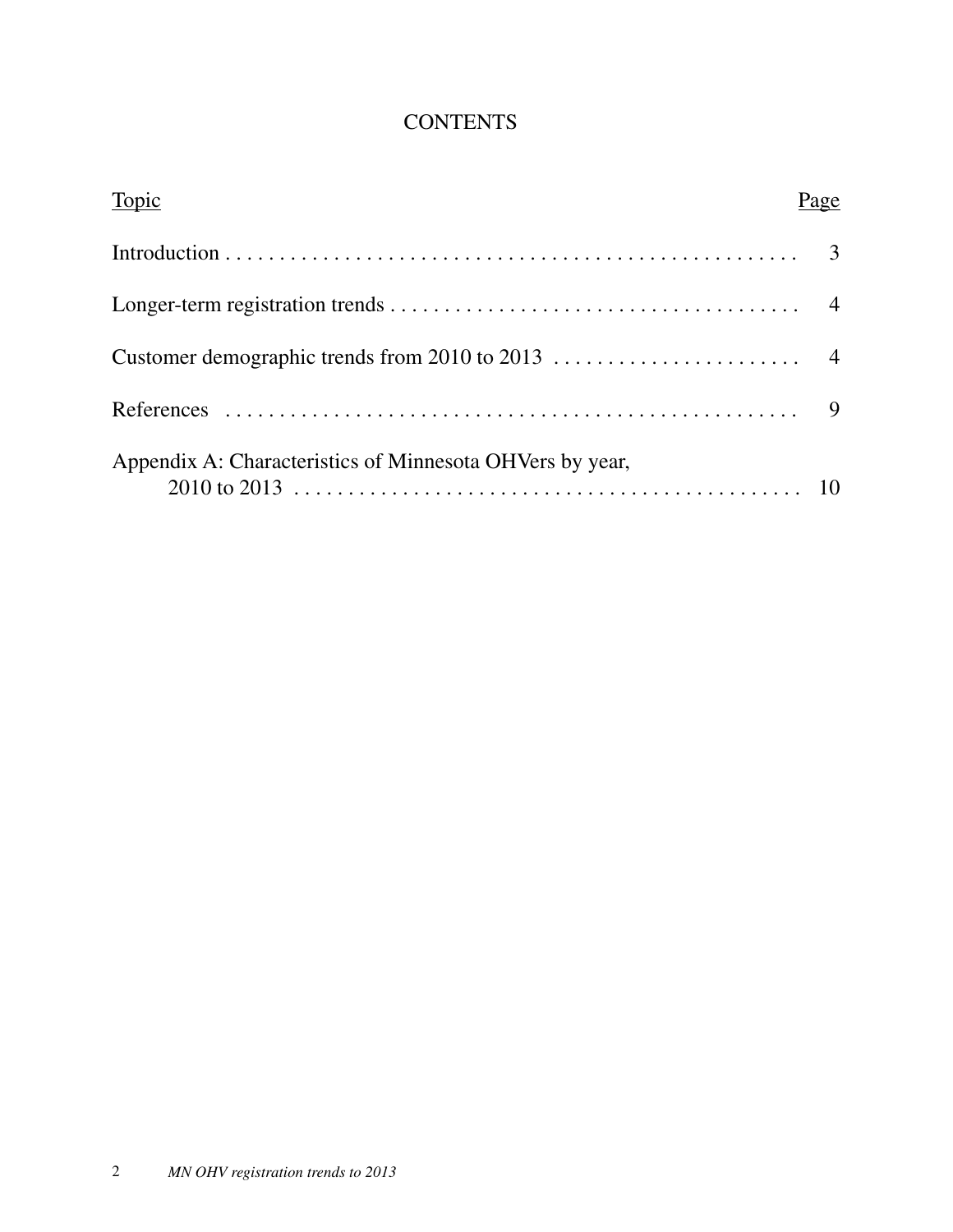# **CONTENTS**

| Topic                                                    | Page |
|----------------------------------------------------------|------|
|                                                          |      |
|                                                          |      |
|                                                          |      |
|                                                          |      |
| Appendix A: Characteristics of Minnesota OHVers by year, |      |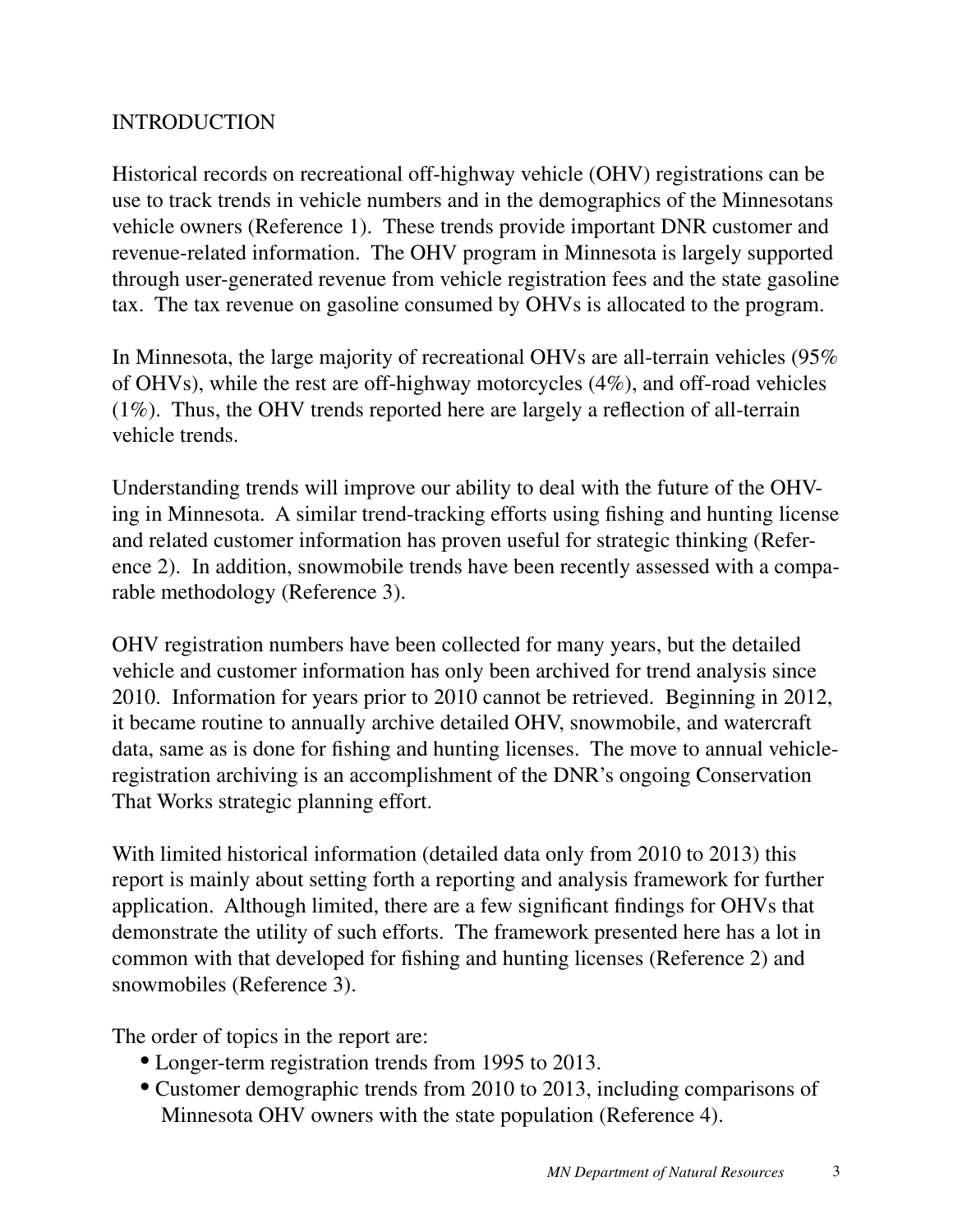### INTRODUCTION

Historical records on recreational off-highway vehicle (OHV) registrations can be use to track trends in vehicle numbers and in the demographics of the Minnesotans vehicle owners (Reference 1). These trends provide important DNR customer and revenue-related information. The OHV program in Minnesota is largely supported through user-generated revenue from vehicle registration fees and the state gasoline tax. The tax revenue on gasoline consumed by OHVs is allocated to the program.

In Minnesota, the large majority of recreational OHVs are all-terrain vehicles (95% of OHVs), while the rest are off-highway motorcycles (4%), and off-road vehicles (1%). Thus, the OHV trends reported here are largely a reflection of all-terrain vehicle trends.

Understanding trends will improve our ability to deal with the future of the OHVing in Minnesota. A similar trend-tracking efforts using fishing and hunting license and related customer information has proven useful for strategic thinking (Reference 2). In addition, snowmobile trends have been recently assessed with a comparable methodology (Reference 3).

OHV registration numbers have been collected for many years, but the detailed vehicle and customer information has only been archived for trend analysis since 2010. Information for years prior to 2010 cannot be retrieved. Beginning in 2012, it became routine to annually archive detailed OHV, snowmobile, and watercraft data, same as is done for fishing and hunting licenses. The move to annual vehicleregistration archiving is an accomplishment of the DNR's ongoing Conservation That Works strategic planning effort.

With limited historical information (detailed data only from 2010 to 2013) this report is mainly about setting forth a reporting and analysis framework for further application. Although limited, there are a few significant findings for OHVs that demonstrate the utility of such efforts. The framework presented here has a lot in common with that developed for fishing and hunting licenses (Reference 2) and snowmobiles (Reference 3).

The order of topics in the report are:

- Longer-term registration trends from 1995 to 2013.
- Customer demographic trends from 2010 to 2013, including comparisons of Minnesota OHV owners with the state population (Reference 4).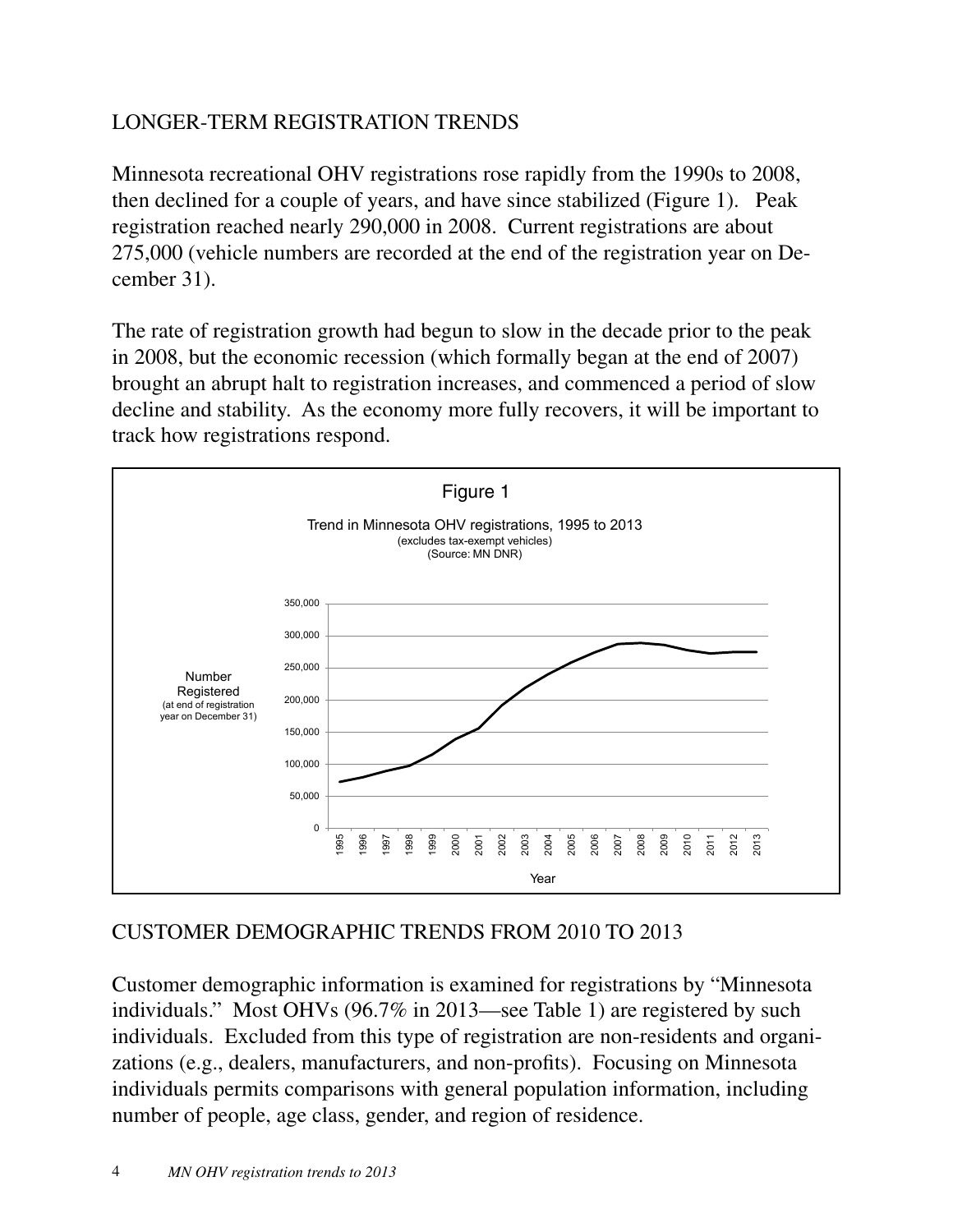# LONGER-TERM REGISTRATION TRENDS

Minnesota recreational OHV registrations rose rapidly from the 1990s to 2008, then declined for a couple of years, and have since stabilized (Figure 1). Peak registration reached nearly 290,000 in 2008. Current registrations are about 275,000 (vehicle numbers are recorded at the end of the registration year on December 31).

The rate of registration growth had begun to slow in the decade prior to the peak in 2008, but the economic recession (which formally began at the end of 2007) brought an abrupt halt to registration increases, and commenced a period of slow decline and stability. As the economy more fully recovers, it will be important to track how registrations respond.



# CUSTOMER DEMOGRAPHIC TRENDS FROM 2010 TO 2013

Customer demographic information is examined for registrations by "Minnesota individuals." Most OHVs (96.7% in 2013—see Table 1) are registered by such individuals. Excluded from this type of registration are non-residents and organizations (e.g., dealers, manufacturers, and non-profits). Focusing on Minnesota individuals permits comparisons with general population information, including number of people, age class, gender, and region of residence.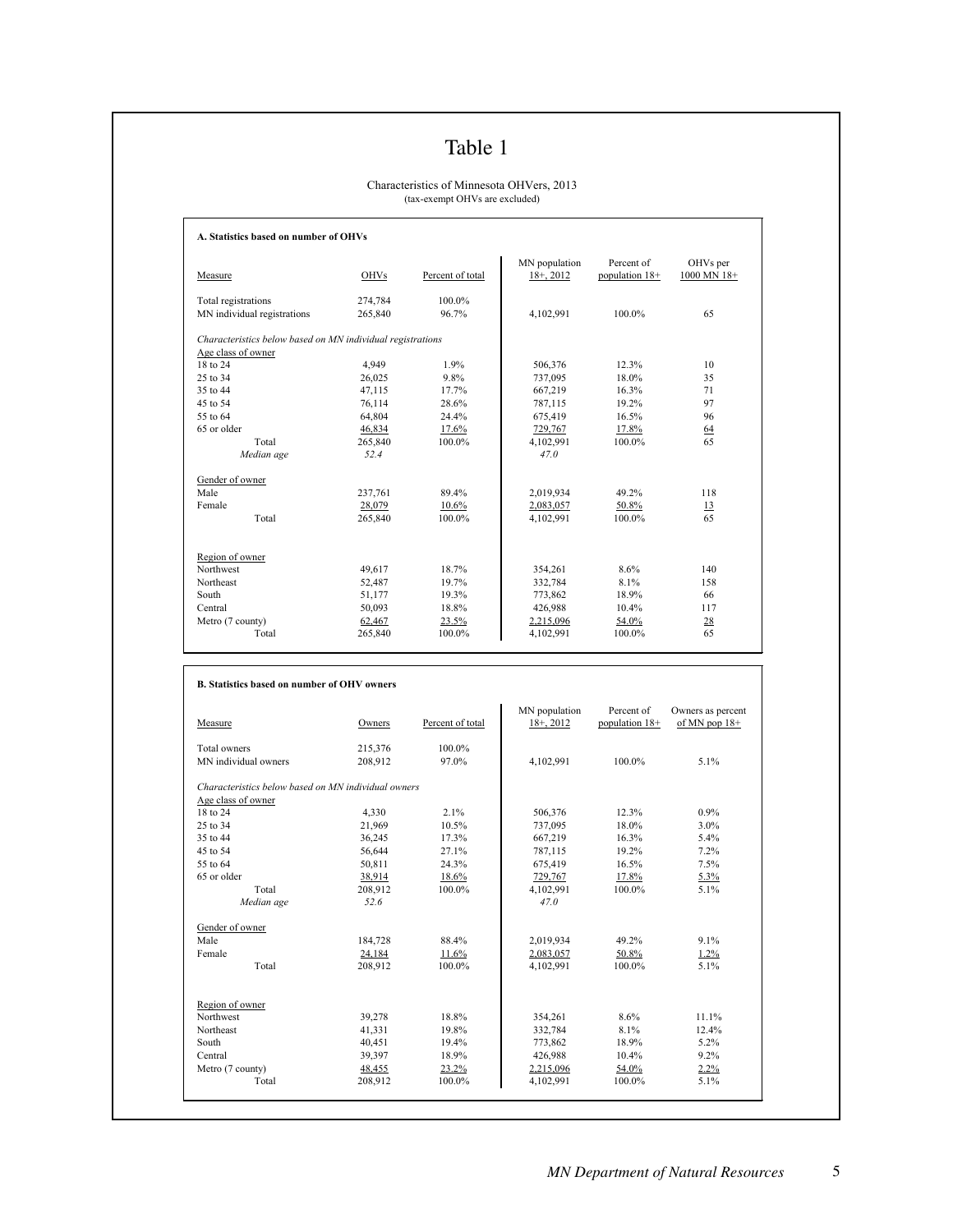# Table 1

#### Characteristics of Minnesota OHVers, 2013 (tax-exempt OHVs are excluded)

| Measure                                                    | <b>OHVs</b> | Percent of total | MN population<br>$18 + 2012$ | Percent of<br>population 18+ | OHVs per<br>1000 MN 18+ |
|------------------------------------------------------------|-------------|------------------|------------------------------|------------------------------|-------------------------|
| Total registrations                                        | 274,784     | 100.0%           |                              |                              |                         |
| MN individual registrations                                | 265,840     | 96.7%            | 4,102,991                    | 100.0%                       | 65                      |
| Characteristics below based on MN individual registrations |             |                  |                              |                              |                         |
| Age class of owner                                         |             |                  |                              |                              |                         |
| 18 to 24                                                   | 4,949       | 1.9%             | 506,376                      | 12.3%                        | 10                      |
| 25 to 34                                                   | 26,025      | 9.8%             | 737,095                      | 18.0%                        | 35                      |
| 35 to 44                                                   | 47,115      | 17.7%            | 667,219                      | 16.3%                        | 71                      |
| 45 to 54                                                   | 76,114      | 28.6%            | 787,115                      | 19.2%                        | 97                      |
| 55 to 64                                                   | 64,804      | 24.4%            | 675,419                      | 16.5%                        | 96                      |
| 65 or older                                                | 46,834      | 17.6%            | 729,767                      | 17.8%                        | 64                      |
| Total                                                      | 265,840     | 100.0%           | 4,102,991                    | 100.0%                       | 65                      |
| Median age                                                 | 52.4        |                  | 47.0                         |                              |                         |
| Gender of owner                                            |             |                  |                              |                              |                         |
| Male                                                       | 237,761     | 89.4%            | 2,019,934                    | 49.2%                        | 118                     |
| Female                                                     | 28,079      | 10.6%            | 2,083,057                    | 50.8%                        | 13                      |
| Total                                                      | 265,840     | 100.0%           | 4,102,991                    | 100.0%                       | 65                      |
| Region of owner                                            |             |                  |                              |                              |                         |
| Northwest                                                  | 49,617      | 18.7%            | 354,261                      | 8.6%                         | 140                     |
| Northeast                                                  | 52,487      | 19.7%            | 332,784                      | 8.1%                         | 158                     |
| South                                                      | 51,177      | 19.3%            | 773,862                      | 18.9%                        | 66                      |
| Central                                                    | 50,093      | 18.8%            | 426,988                      | 10.4%                        | 117                     |
| Metro (7 county)                                           | 62,467      | 23.5%            | 2,215,096                    | 54.0%                        | 28                      |
| Total                                                      | 265,840     | 100.0%           | 4,102,991                    | 100.0%                       | 65                      |

 $\sqrt{ }$ 

| Measure                                             | Owners  | Percent of total | MN population<br>$18+$ , 2012 | Percent of<br>population 18+ | Owners as percent<br>of MN pop $18+$ |
|-----------------------------------------------------|---------|------------------|-------------------------------|------------------------------|--------------------------------------|
| Total owners                                        | 215,376 | 100.0%           |                               |                              |                                      |
| MN individual owners                                | 208.912 | 97.0%            | 4,102,991                     | 100.0%                       | 5.1%                                 |
| Characteristics below based on MN individual owners |         |                  |                               |                              |                                      |
| Age class of owner                                  |         |                  |                               |                              |                                      |
| 18 to 24                                            | 4,330   | 2.1%             | 506,376                       | 12.3%                        | $0.9\%$                              |
| 25 to 34                                            | 21,969  | 10.5%            | 737,095                       | 18.0%                        | $3.0\%$                              |
| 35 to 44                                            | 36,245  | 17.3%            | 667,219                       | 16.3%                        | 5.4%                                 |
| 45 to 54                                            | 56,644  | 27.1%            | 787,115                       | 19.2%                        | 7.2%                                 |
| 55 to 64                                            | 50,811  | 24.3%            | 675,419                       | 16.5%                        | 7.5%                                 |
| 65 or older                                         | 38,914  | 18.6%            | 729,767                       | 17.8%                        | 5.3%                                 |
| Total                                               | 208,912 | 100.0%           | 4,102,991                     | 100.0%                       | 5.1%                                 |
| Median age                                          | 52.6    |                  | 47.0                          |                              |                                      |
| Gender of owner                                     |         |                  |                               |                              |                                      |
| Male                                                | 184,728 | 88.4%            | 2,019,934                     | 49.2%                        | 9.1%                                 |
| Female                                              | 24,184  | 11.6%            | 2,083,057                     | 50.8%                        | $1.2\%$                              |
| Total                                               | 208,912 | 100.0%           | 4,102,991                     | 100.0%                       | 5.1%                                 |
| Region of owner                                     |         |                  |                               |                              |                                      |
| Northwest                                           | 39,278  | 18.8%            | 354,261                       | 8.6%                         | 11.1%                                |
| Northeast                                           | 41,331  | 19.8%            | 332,784                       | 8.1%                         | 12.4%                                |
| South                                               | 40,451  | 19.4%            | 773,862                       | 18.9%                        | $5.2\%$                              |
| Central                                             | 39,397  | 18.9%            | 426,988                       | 10.4%                        | 9.2%                                 |
| Metro (7 county)                                    | 48,455  | 23.2%            | 2,215,096                     | 54.0%                        | $2.2\%$                              |
| Total                                               | 208,912 | 100.0%           | 4,102,991                     | 100.0%                       | 5.1%                                 |

٦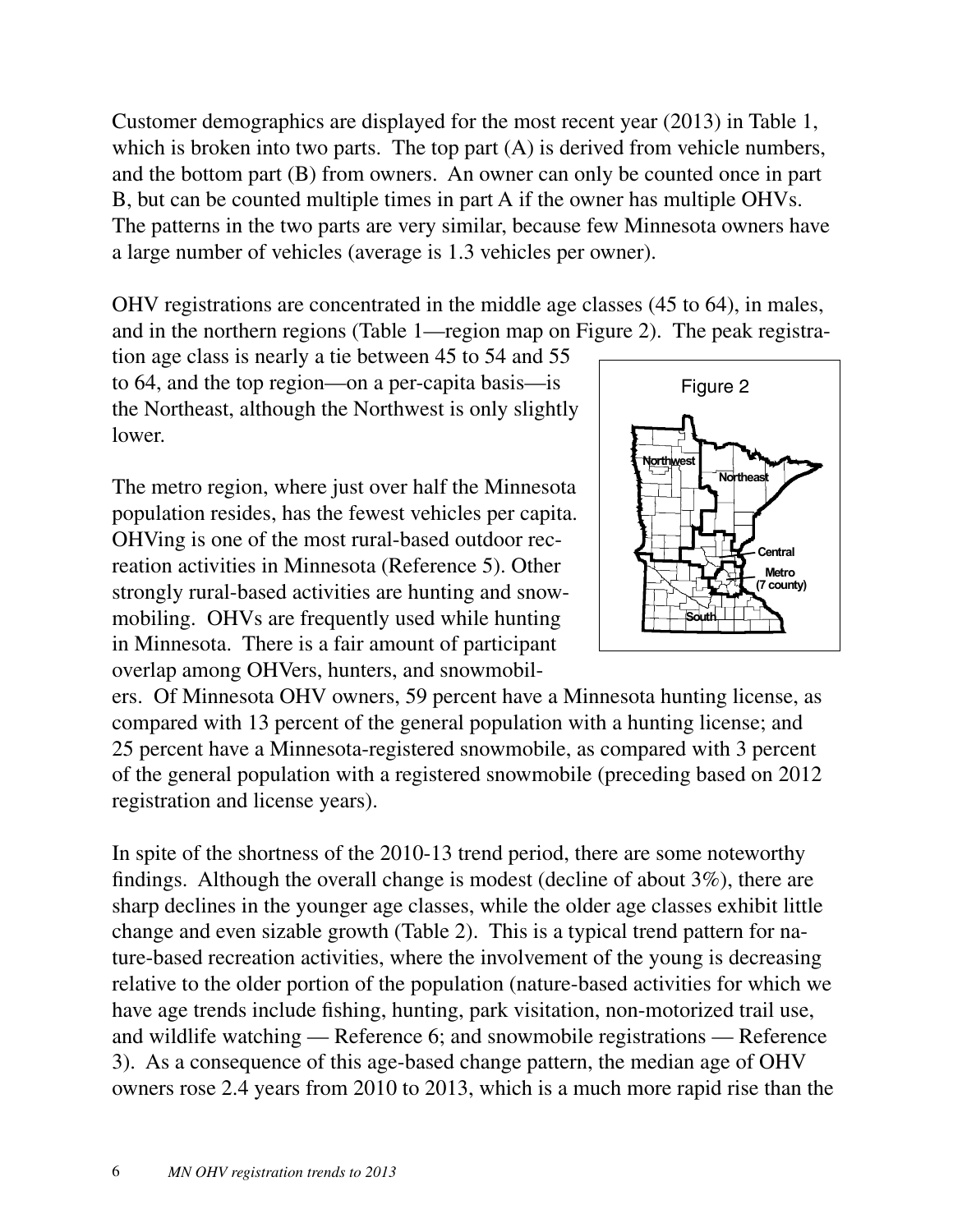Customer demographics are displayed for the most recent year (2013) in Table 1, which is broken into two parts. The top part  $(A)$  is derived from vehicle numbers, and the bottom part (B) from owners. An owner can only be counted once in part B, but can be counted multiple times in part A if the owner has multiple OHVs. The patterns in the two parts are very similar, because few Minnesota owners have a large number of vehicles (average is 1.3 vehicles per owner).

OHV registrations are concentrated in the middle age classes (45 to 64), in males, and in the northern regions (Table 1—region map on Figure 2). The peak registra-

tion age class is nearly a tie between 45 to 54 and 55 to 64, and the top region—on a per-capita basis—is the Northeast, although the Northwest is only slightly lower.

The metro region, where just over half the Minnesota population resides, has the fewest vehicles per capita. OHVing is one of the most rural-based outdoor recreation activities in Minnesota (Reference 5). Other strongly rural-based activities are hunting and snowmobiling. OHVs are frequently used while hunting in Minnesota. There is a fair amount of participant overlap among OHVers, hunters, and snowmobil-



ers. Of Minnesota OHV owners, 59 percent have a Minnesota hunting license, as compared with 13 percent of the general population with a hunting license; and 25 percent have a Minnesota-registered snowmobile, as compared with 3 percent of the general population with a registered snowmobile (preceding based on 2012 registration and license years).

In spite of the shortness of the 2010-13 trend period, there are some noteworthy findings. Although the overall change is modest (decline of about 3%), there are sharp declines in the younger age classes, while the older age classes exhibit little change and even sizable growth (Table 2). This is a typical trend pattern for nature-based recreation activities, where the involvement of the young is decreasing relative to the older portion of the population (nature-based activities for which we have age trends include fishing, hunting, park visitation, non-motorized trail use, and wildlife watching — Reference 6; and snowmobile registrations — Reference 3). As a consequence of this age-based change pattern, the median age of OHV owners rose 2.4 years from 2010 to 2013, which is a much more rapid rise than the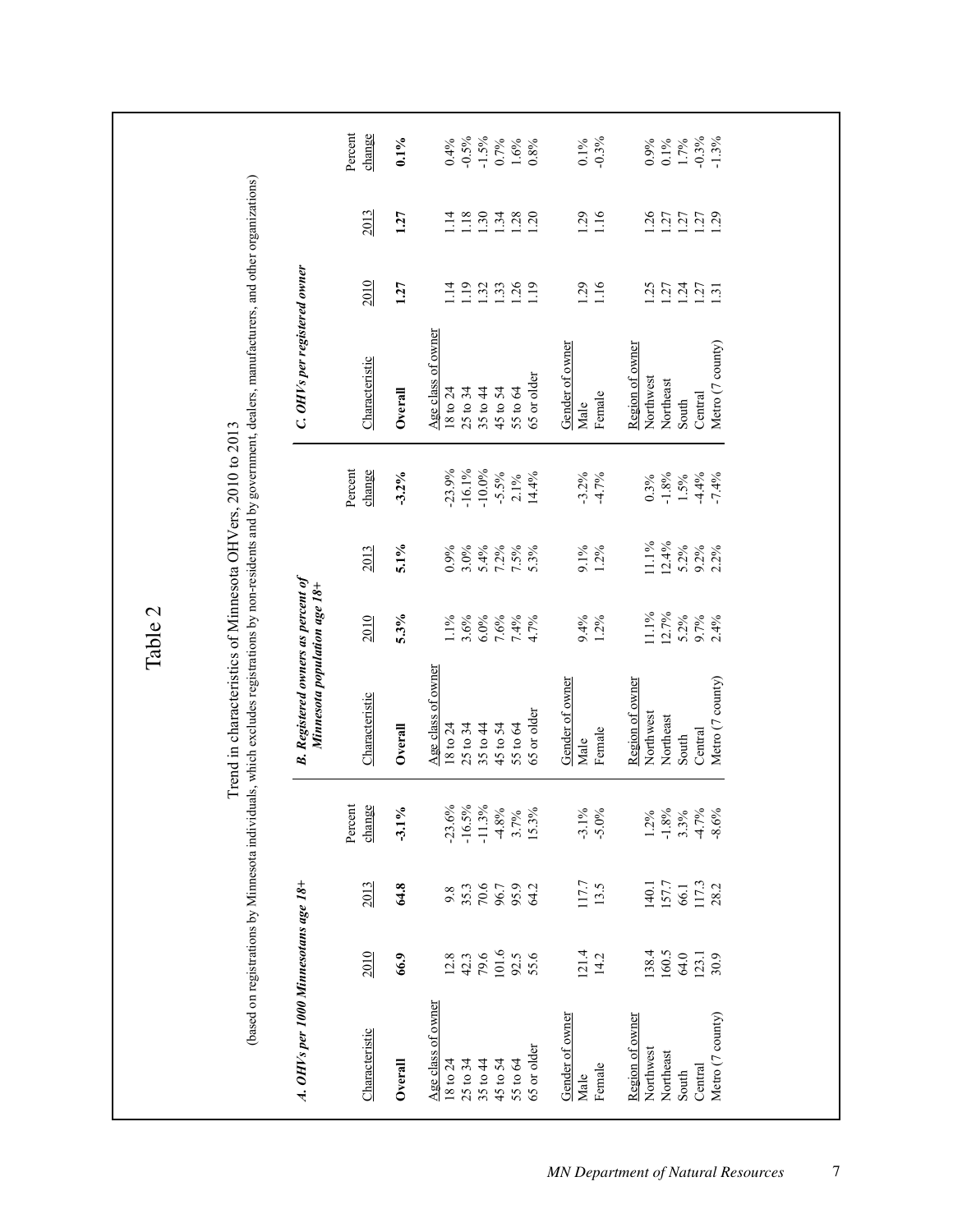|                                                                                               |                                               |                                                 |                                                            |                                                                                               | Table 2                                         |                                                       |                                                                   |                                                                                                                                                                     |                                              |                                                |                                                       |
|-----------------------------------------------------------------------------------------------|-----------------------------------------------|-------------------------------------------------|------------------------------------------------------------|-----------------------------------------------------------------------------------------------|-------------------------------------------------|-------------------------------------------------------|-------------------------------------------------------------------|---------------------------------------------------------------------------------------------------------------------------------------------------------------------|----------------------------------------------|------------------------------------------------|-------------------------------------------------------|
|                                                                                               |                                               |                                                 |                                                            | Trend in characteristics of Minnesota OHVers, 2010 to 2013                                    |                                                 |                                                       |                                                                   | (based on registrations by Minnesota individuals, which excludes registrations by non-residents and by government, dealers, manufacturers, and other organizations) |                                              |                                                |                                                       |
| A. OHVs per 1000 Minnesotans age 18+                                                          |                                               |                                                 |                                                            | <b>B.</b> Registered owners as percent of<br>Minnesota population age 18+                     |                                                 |                                                       |                                                                   | C. OHVs per registered owner                                                                                                                                        |                                              |                                                |                                                       |
| Characteristic                                                                                | <b>2010</b>                                   | 2013                                            | Percent<br>change                                          | Characteristic                                                                                | <b>2010</b>                                     | 2013                                                  | change<br>Percent                                                 | Characteristic                                                                                                                                                      | <b>2010</b>                                  | 2013                                           | Percent<br>change                                     |
| Overall                                                                                       | 66.9                                          | 64.8                                            | $-3.1\%$                                                   | Overall                                                                                       | $5.3\%$                                         | 5.1%                                                  | $-3.2%$                                                           | Overall                                                                                                                                                             | 1.27                                         | 1.27                                           | $0.1\%$                                               |
| Age class of owner<br>65 or older<br>25 to 34<br>35 to 44<br>45 to 54<br>18 to 24<br>55 to 64 | 101.6<br>79.6<br>55.6<br>92.5<br>12.8<br>42.3 | $70.6\,$<br>95.9<br>35.3<br>96.7<br>64.2<br>9.8 | $-23.6%$<br>$-16.5%$<br>$-11.3\%$<br>4.8%<br>15.3%<br>3.7% | Age class of owner<br>65 or older<br>25 to 34<br>35 to 44<br>45 to 54<br>18 to 24<br>55 to 64 | 3.6%<br>6.0%<br>7.6%<br>$1.1\%$<br>7.4%<br>4.7% | $0.9\%$<br>$3.0\%$<br>5.4%<br>$7.2\%$<br>7.5%<br>5.3% | $-16.1\%$<br>$-10.0\%$<br>$-23.9%$<br>$-5.5%$<br>14.4%<br>$2.1\%$ | Age class of owner<br>65 or older<br>25 to 34<br>45 to 54<br>18 to 24<br>35 to 44<br>55 to 64                                                                       | 1.19<br>1.33<br>1.26<br>1.14<br>1.32<br>1.19 | 1.18<br>1.30<br>1.34<br>1.28<br>$\frac{4}{11}$ | $-0.5%$<br>$-1.5%$<br>0.7%<br>0.4%<br>$1.6\%$<br>0.8% |
| Gender of owner<br>Female<br>Male                                                             | 121.4<br>14.2                                 | 117.7<br>13.5                                   | $-3.1\%$<br>$-5.0\%$                                       | Gender of owner<br>Female<br>Male                                                             | 9.4%<br>$1.2\%$                                 | $1.2\%$<br>9.1%                                       | $-3.2%$<br>$-4.7%$                                                | Gender of owner<br>Female<br>Male                                                                                                                                   | 1.29<br>1.16                                 | 1.29<br>1.16                                   | $-0.3%$<br>$0.1\%$                                    |
| Metro (7 county)<br>Region of owner<br>Northwest<br>Northeast<br>Central<br>South             | 138.4<br>160.5<br>123.1<br>64.0<br>30.9       | 157.7<br>117.3<br>140.1<br>66.1<br>28.2         | $-1.8%$<br>$-4.7%$<br>$-8.6%$<br>3.3%<br>$1.2\%$           | Metro (7 county)<br>Region of owner<br>Northwest<br>Northeast<br>Central<br>South             | 11.1%<br>12.7%<br>$5.2\%$<br>9.7%<br>2.4%       | 11.1%<br>12.4%<br>$5.2\%$<br>$9.2\%$<br>2.2%          | $-1.8%$<br>$-4.4%$<br>$-7.4%$<br>0.3%<br>$1.5\%$                  | Metro (7 county)<br>Region of owner<br>Northwest<br>Northeast<br>Central<br>South                                                                                   | 1.25<br>1.24<br>1.27<br>127<br>1.31          | 126<br>$1.27$<br>$1.27$<br>1.27                | $-0.3\%$<br>$-1.3%$<br>1.7%<br>0.9%<br>$0.1\%$        |
|                                                                                               |                                               |                                                 |                                                            |                                                                                               |                                                 |                                                       |                                                                   |                                                                                                                                                                     |                                              |                                                |                                                       |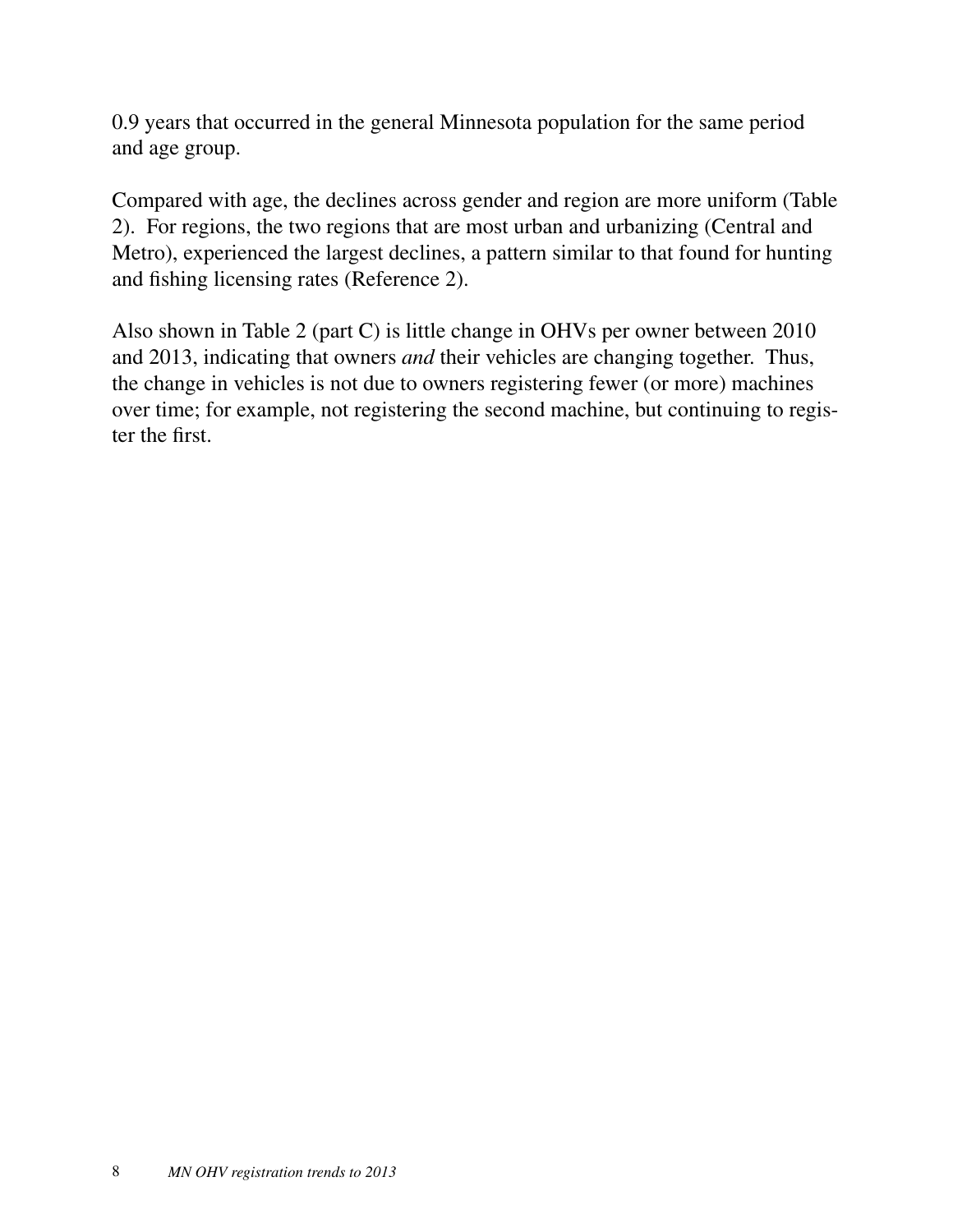0.9 years that occurred in the general Minnesota population for the same period and age group.

Compared with age, the declines across gender and region are more uniform (Table 2). For regions, the two regions that are most urban and urbanizing (Central and Metro), experienced the largest declines, a pattern similar to that found for hunting and fishing licensing rates (Reference 2).

Also shown in Table 2 (part C) is little change in OHVs per owner between 2010 and 2013, indicating that owners *and* their vehicles are changing together. Thus, the change in vehicles is not due to owners registering fewer (or more) machines over time; for example, not registering the second machine, but continuing to register the first.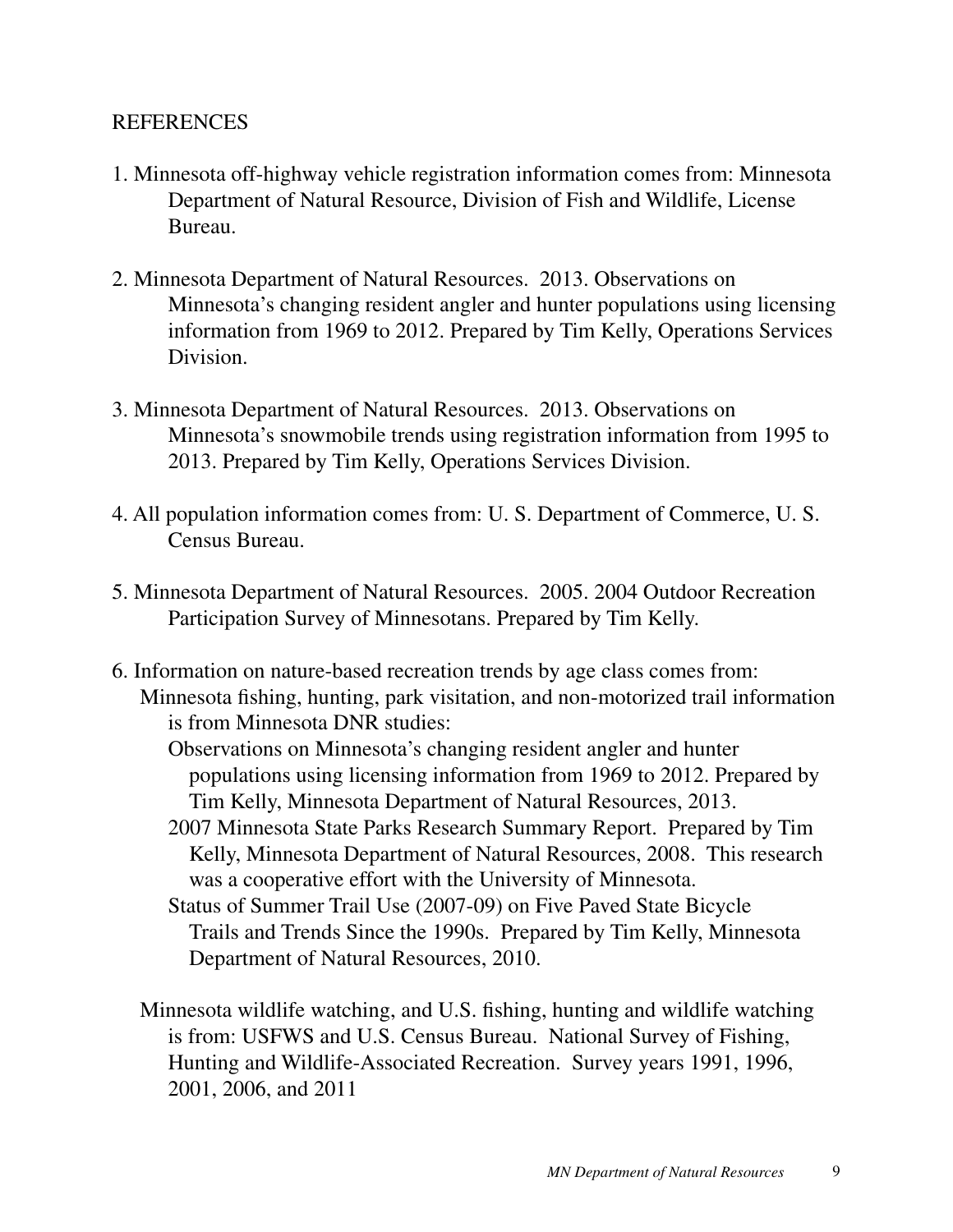#### **REFERENCES**

- 1. Minnesota off-highway vehicle registration information comes from: Minnesota Department of Natural Resource, Division of Fish and Wildlife, License Bureau.
- 2. Minnesota Department of Natural Resources. 2013. Observations on Minnesota's changing resident angler and hunter populations using licensing information from 1969 to 2012. Prepared by Tim Kelly, Operations Services Division.
- 3. Minnesota Department of Natural Resources. 2013. Observations on Minnesota's snowmobile trends using registration information from 1995 to 2013. Prepared by Tim Kelly, Operations Services Division.
- 4. All population information comes from: U. S. Department of Commerce, U. S. Census Bureau.
- 5. Minnesota Department of Natural Resources. 2005. 2004 Outdoor Recreation Participation Survey of Minnesotans. Prepared by Tim Kelly.
- 6. Information on nature-based recreation trends by age class comes from: Minnesota fishing, hunting, park visitation, and non-motorized trail information is from Minnesota DNR studies:
	- Observations on Minnesota's changing resident angler and hunter populations using licensing information from 1969 to 2012. Prepared by Tim Kelly, Minnesota Department of Natural Resources, 2013.
	- 2007 Minnesota State Parks Research Summary Report. Prepared by Tim Kelly, Minnesota Department of Natural Resources, 2008. This research was a cooperative effort with the University of Minnesota.
	- Status of Summer Trail Use (2007-09) on Five Paved State Bicycle Trails and Trends Since the 1990s. Prepared by Tim Kelly, Minnesota Department of Natural Resources, 2010.
	- Minnesota wildlife watching, and U.S. fishing, hunting and wildlife watching is from: USFWS and U.S. Census Bureau. National Survey of Fishing, Hunting and Wildlife-Associated Recreation. Survey years 1991, 1996, 2001, 2006, and 2011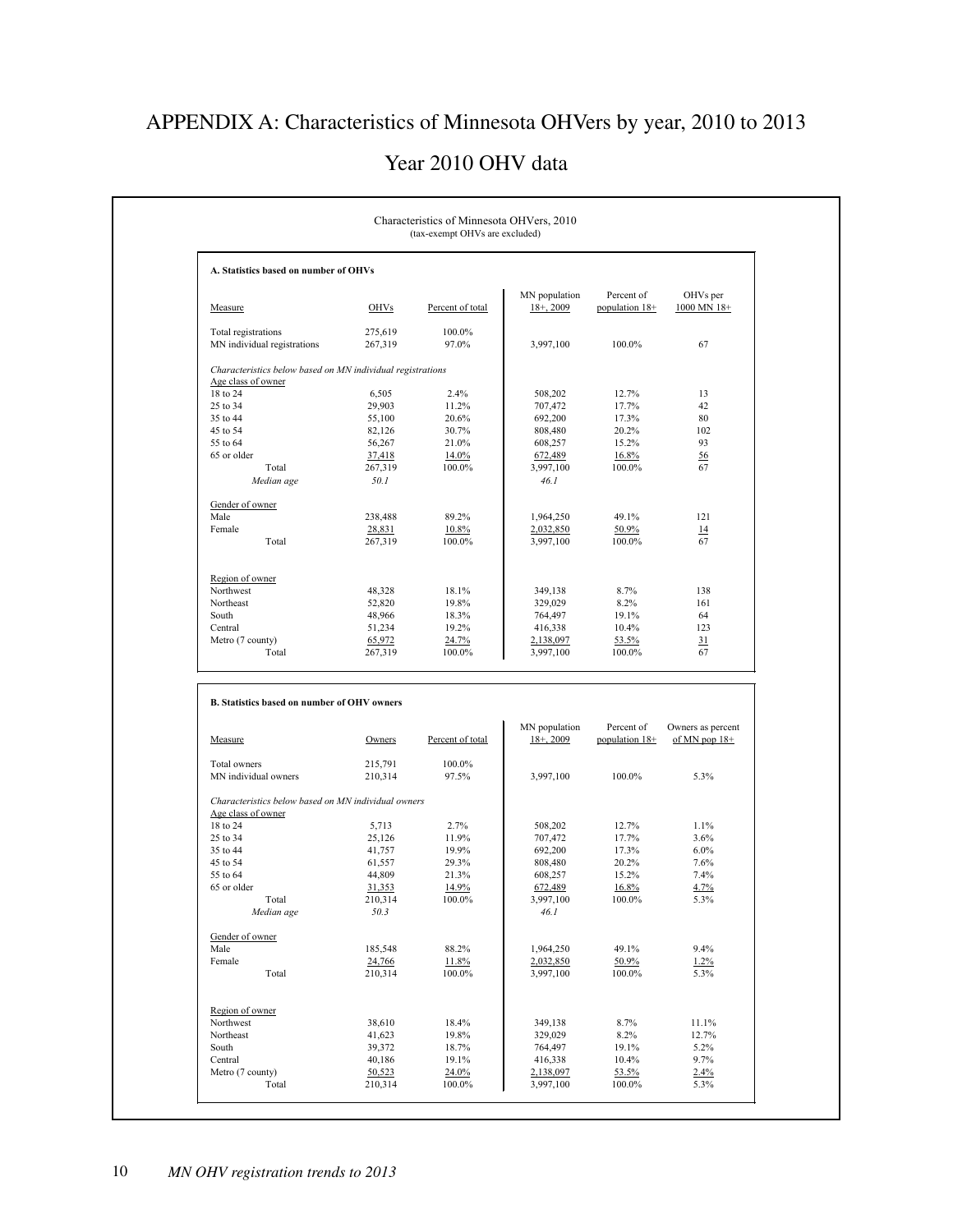# APPENDIX A: Characteristics of Minnesota OHVers by year, 2010 to 2013

#### Year 2010 OHV data

| A. Statistics based on number of OHVs                      |                    |                  |                              |                              |                                      |
|------------------------------------------------------------|--------------------|------------------|------------------------------|------------------------------|--------------------------------------|
|                                                            |                    |                  | MN population                | Percent of                   | OHVs per                             |
| Measure                                                    | <b>OHVs</b>        | Percent of total | $18+, 2009$                  | population 18+               | 1000 MN 18+                          |
| Total registrations<br>MN individual registrations         | 275,619<br>267,319 | 100.0%<br>97.0%  | 3,997,100                    | 100.0%                       | 67                                   |
| Characteristics below based on MN individual registrations |                    |                  |                              |                              |                                      |
| Age class of owner<br>18 to 24                             | 6,505              | 2.4%             |                              | 12.7%                        | 13                                   |
| 25 to 34                                                   | 29,903             | 11.2%            | 508,202<br>707,472           | 17.7%                        | 42                                   |
| 35 to 44                                                   | 55,100             |                  | 692,200                      | 17.3%                        | 80                                   |
| 45 to 54                                                   |                    | 20.6%            |                              |                              | 102                                  |
|                                                            | 82,126             | 30.7%            | 808,480                      | 20.2%                        |                                      |
| 55 to 64                                                   | 56,267             | 21.0%            | 608,257                      | 15.2%                        | 93                                   |
| 65 or older                                                | 37,418             | 14.0%            | 672,489                      | 16.8%                        | 56                                   |
| Total<br>Median age                                        | 267,319<br>50.1    | 100.0%           | 3,997,100<br>46.1            | 100.0%                       | 67                                   |
|                                                            |                    |                  |                              |                              |                                      |
| Gender of owner<br>Male                                    | 238,488            | 89.2%            | 1,964,250                    | 49.1%                        | 121                                  |
| Female                                                     | 28,831             | 10.8%            | 2,032,850                    | 50.9%                        | 14                                   |
| Total                                                      | 267,319            | 100.0%           | 3,997,100                    | 100.0%                       | 67                                   |
|                                                            |                    |                  |                              |                              |                                      |
|                                                            |                    |                  |                              |                              |                                      |
| Region of owner<br>Northwest                               | 48,328             | 18.1%            | 349,138                      | 8.7%                         | 138                                  |
| Northeast                                                  | 52,820             | 19.8%            | 329,029                      | 8.2%                         | 161                                  |
|                                                            |                    |                  |                              |                              |                                      |
| South                                                      | 48,966             | 18.3%            | 764,497                      | 19.1%                        | 64                                   |
| Central                                                    | 51,234             | 19.2%            | 416,338                      | 10.4%                        | 123                                  |
|                                                            |                    |                  |                              |                              |                                      |
| Metro (7 county)<br>Total                                  | 65,972<br>267,319  | 24.7%<br>100.0%  | 2,138,097<br>3,997,100       | 53.5%<br>100.0%              | 31<br>67                             |
| B. Statistics based on number of OHV owners                |                    |                  |                              |                              |                                      |
| Measure                                                    | Owners             | Percent of total | MN population<br>$18 + 2009$ | Percent of<br>population 18+ | Owners as percent<br>of MN pop $18+$ |
| Total owners                                               | 215,791            | 100.0%           |                              |                              |                                      |
| MN individual owners                                       | 210,314            | 97.5%            | 3,997,100                    | 100.0%                       | 5.3%                                 |
| Characteristics below based on MN individual owners        |                    |                  |                              |                              |                                      |
| Age class of owner                                         |                    |                  |                              |                              |                                      |
| 18 to 24                                                   | 5,713              | 2.7%             | 508,202                      | 12.7%                        | 1.1%                                 |
| 25 to 34                                                   | 25,126             | 11.9%            | 707,472                      | 17.7%                        | 3.6%                                 |
| 35 to 44                                                   | 41,757             | 19.9%            | 692,200                      | 17.3%                        | 6.0%                                 |
| 45 to 54                                                   | 61,557             | 29.3%            | 808,480                      | 20.2%                        | 7.6%                                 |
| 55 to 64                                                   | 44,809             | 21.3%            | 608,257                      | 15.2%                        | 7.4%                                 |
| 65 or older                                                | 31,353             | 14.9%            | 672,489                      | 16.8%                        | 4.7%                                 |
| Total                                                      |                    |                  |                              |                              |                                      |
| Median age                                                 | 210,314<br>50.3    | 100.0%           | 3,997,100<br>46. I           | 100.0%                       | 5.3%                                 |
| Gender of owner                                            |                    |                  |                              |                              |                                      |
| Male                                                       | 185,548            |                  |                              |                              |                                      |
|                                                            |                    | 88.2%            | 1,964,250                    | 49.1%                        | 9.4%                                 |
| Female<br>Total                                            | 24,766<br>210,314  | 11.8%<br>100.0%  | 2,032,850<br>3,997,100       | 50.9%<br>100.0%              | 1.2%<br>5.3%                         |
|                                                            |                    |                  |                              |                              |                                      |
| Region of owner                                            |                    |                  |                              |                              |                                      |
| Northwest                                                  | 38,610             | 18.4%            | 349,138                      | 8.7%                         | 11.1%                                |
| Northeast                                                  | 41,623             | 19.8%            | 329,029                      | 8.2%                         | 12.7%                                |
| South                                                      | 39,372             | 18.7%            | 764,497                      | 19.1%                        | 5.2%                                 |
| Central                                                    | 40,186             | 19.1%            | 416,338                      | 10.4%                        | 9.7%                                 |
| Metro (7 county)<br>Total                                  | 50,523<br>210,314  | 24.0%<br>100.0%  | 2,138,097<br>3,997,100       | 53.5%<br>100.0%              | 2.4%<br>5.3%                         |

r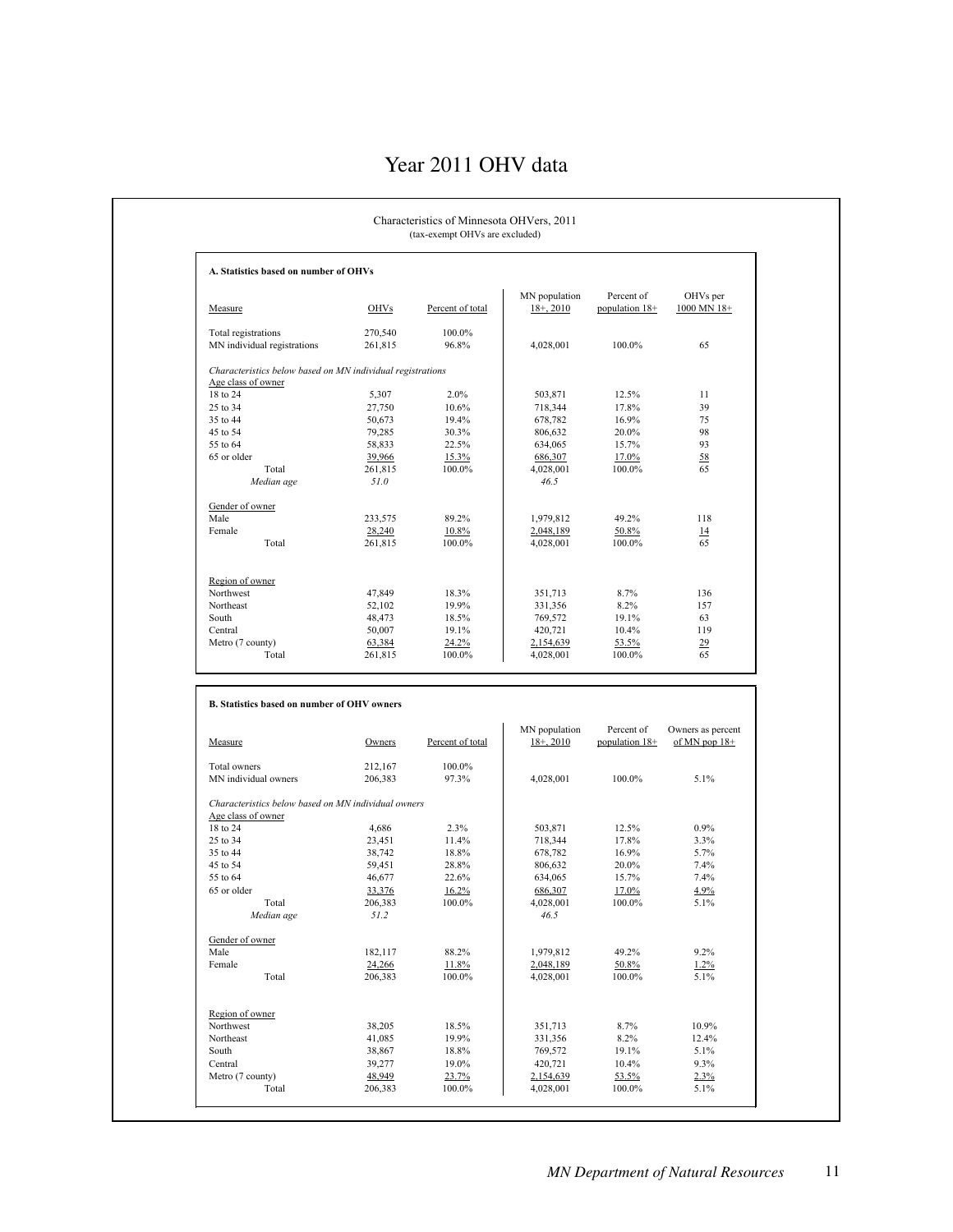### Year 2011 OHV data

| A. Statistics based on number of OHVs                                            |                    |                  |                               |                              |                                      |
|----------------------------------------------------------------------------------|--------------------|------------------|-------------------------------|------------------------------|--------------------------------------|
|                                                                                  |                    |                  |                               |                              |                                      |
| Measure                                                                          | <b>OHVs</b>        | Percent of total | MN population<br>$18 + 2010$  | Percent of<br>population 18+ | OHVs per<br>1000 MN 18+              |
| Total registrations<br>MN individual registrations                               | 270,540<br>261,815 | 100.0%<br>96.8%  | 4,028,001                     | 100.0%                       | 65                                   |
| Characteristics below based on MN individual registrations<br>Age class of owner |                    |                  |                               |                              |                                      |
| 18 to 24                                                                         | 5,307              | 2.0%             | 503,871                       | 12.5%                        | 11                                   |
| 25 to 34                                                                         | 27,750             | 10.6%            | 718,344                       | 17.8%                        | 39                                   |
| 35 to 44                                                                         | 50,673             | 19.4%            | 678,782                       | 16.9%                        | 75                                   |
| 45 to 54                                                                         | 79,285             | 30.3%            | 806,632                       | 20.0%                        | 98                                   |
| 55 to 64                                                                         | 58,833             | 22.5%            | 634,065                       | 15.7%                        | 93                                   |
| 65 or older                                                                      | 39,966             | 15.3%            | 686,307                       | 17.0%                        | 58                                   |
| Total                                                                            | 261,815            | 100.0%           | 4,028,001                     | 100.0%                       | 65                                   |
| Median age                                                                       | 51.0               |                  | 46.5                          |                              |                                      |
| Gender of owner                                                                  |                    |                  |                               |                              |                                      |
| Male                                                                             | 233,575            | 89.2%            | 1,979,812                     | 49.2%                        | 118                                  |
| Female                                                                           | 28,240             | 10.8%            | 2,048,189                     | 50.8%                        | $\overline{14}$                      |
| Total                                                                            | 261,815            | 100.0%           | 4,028,001                     | 100.0%                       | 65                                   |
|                                                                                  |                    |                  |                               |                              |                                      |
| Region of owner                                                                  |                    |                  |                               |                              |                                      |
| Northwest                                                                        | 47,849             | 18.3%            | 351,713                       | 8.7%                         | 136                                  |
| Northeast                                                                        | 52,102             | 19.9%            | 331,356                       | 8.2%                         | 157                                  |
| South                                                                            | 48,473             | 18.5%            | 769,572                       | 19.1%                        | 63                                   |
| Central                                                                          | 50,007             | 19.1%            | 420,721                       | 10.4%                        | 119                                  |
|                                                                                  |                    |                  |                               |                              |                                      |
| Metro (7 county)<br>Total                                                        | 63,384<br>261,815  | 24.2%<br>100.0%  | 2,154,639<br>4,028,001        | 53.5%<br>100.0%              | $\overline{29}$<br>65                |
| B. Statistics based on number of OHV owners                                      |                    |                  |                               |                              |                                      |
| Measure                                                                          | Owners             | Percent of total | MN population<br>$18+$ , 2010 | Percent of<br>population 18+ | Owners as percent<br>of MN pop $18+$ |
| Total owners                                                                     | 212,167            | 100.0%           |                               |                              |                                      |
| MN individual owners                                                             | 206,383            | 97.3%            | 4,028,001                     | 100.0%                       | 5.1%                                 |
| Characteristics below based on MN individual owners                              |                    |                  |                               |                              |                                      |
| Age class of owner                                                               |                    |                  |                               |                              |                                      |
| 18 to 24                                                                         | 4,686              | 2.3%             | 503,871                       | 12.5%                        | 0.9%                                 |
| 25 to 34                                                                         | 23,451             | 11.4%            | 718,344                       | 17.8%                        | 3.3%                                 |
| 35 to 44                                                                         | 38,742             | 18.8%            | 678,782                       | 16.9%                        | 5.7%                                 |
| 45 to 54<br>55 to 64                                                             | 59,451             | 28.8%            | 806,632                       | 20.0%                        | 7.4%                                 |
|                                                                                  | 46,677             | 22.6%            | 634,065                       | 15.7%                        | 7.4%                                 |
| 65 or older                                                                      | 33,376             | 16.2%            | 686,307                       | 17.0%                        | 4.9%                                 |
| Total<br>Median age                                                              | 206,383<br>51.2    | 100.0%           | 4,028,001<br>46.5             | 100.0%                       | $5.1\%$                              |
| Gender of owner                                                                  |                    |                  |                               |                              |                                      |
| Male                                                                             | 182,117            | 88.2%            | 1,979,812                     | 49.2%                        | 9.2%                                 |
| Female                                                                           | 24,266             | 11.8%            | 2,048,189                     | 50.8%                        | 1.2%                                 |
| Total                                                                            | 206,383            | $100.0\%$        | 4,028,001                     | 100.0%                       | 5.1%                                 |
|                                                                                  |                    |                  |                               |                              |                                      |
| Region of owner                                                                  |                    |                  |                               |                              |                                      |
| Northwest                                                                        | 38,205             | 18.5%            | 351,713                       | 8.7%                         | 10.9%                                |
| Northeast                                                                        | 41,085             | 19.9%            | 331,356                       | 8.2%                         | 12.4%                                |
| South                                                                            | 38,867             | 18.8%            | 769,572                       | 19.1%                        | 5.1%                                 |
| Central                                                                          | 39,277             | 19.0%            | 420,721                       | 10.4%                        | 9.3%                                 |
| Metro (7 county)<br>Total                                                        | 48,949<br>206,383  | 23.7%<br>100.0%  | 2,154,639<br>4,028,001        | 53.5%<br>100.0%              | 2.3%<br>5.1%                         |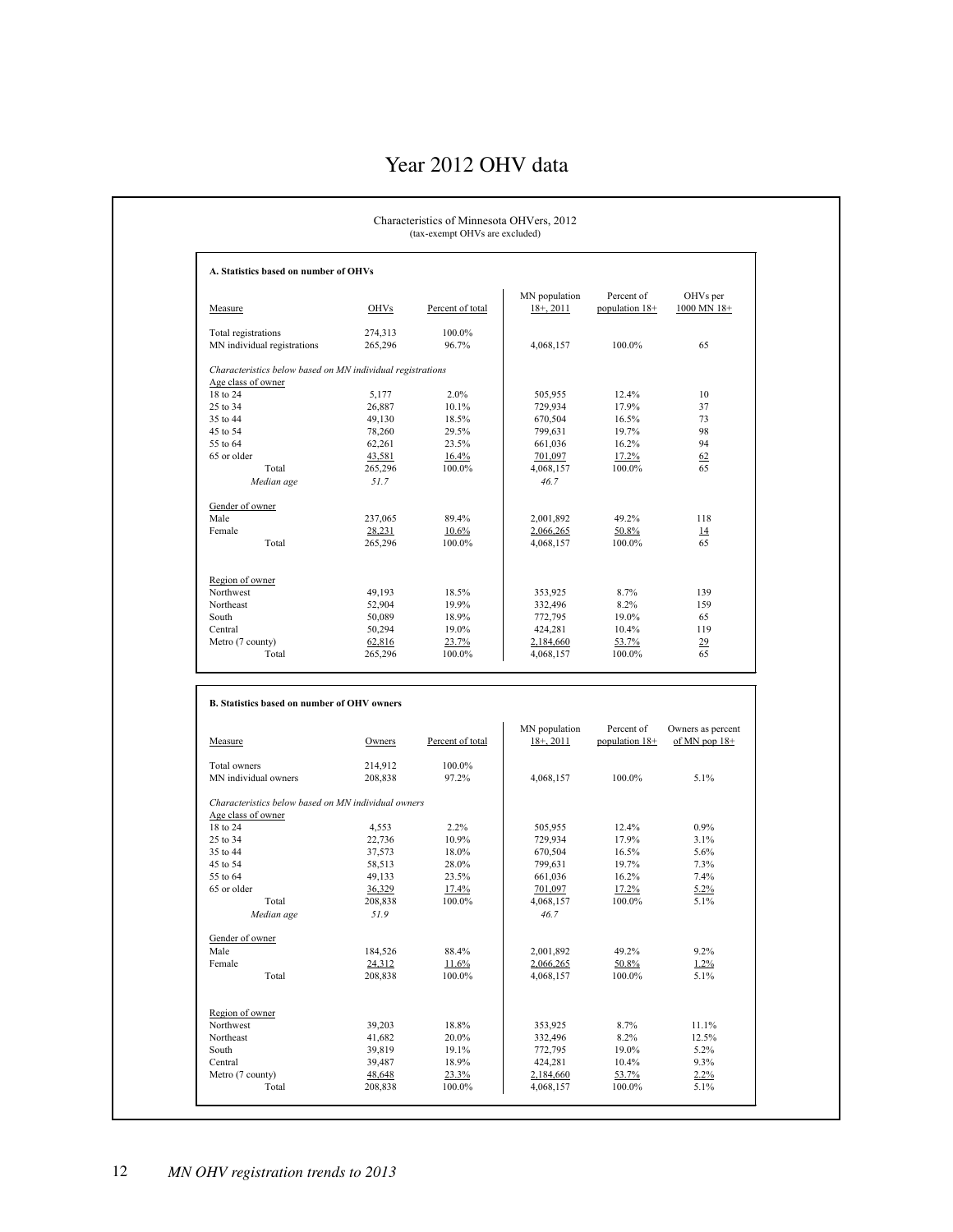### Year 2012 OHV data

| A. Statistics based on number of OHVs                      |                   |                  |                              |                              |                                              |
|------------------------------------------------------------|-------------------|------------------|------------------------------|------------------------------|----------------------------------------------|
| Measure                                                    | <b>OHVs</b>       | Percent of total | MN population<br>$18 + 2011$ | Percent of<br>population 18+ | OHVs per<br>1000 MN 18+                      |
| Total registrations                                        | 274,313           | 100.0%           |                              |                              |                                              |
| MN individual registrations                                | 265,296           | 96.7%            | 4,068,157                    | 100.0%                       | 65                                           |
| Characteristics below based on MN individual registrations |                   |                  |                              |                              |                                              |
| Age class of owner<br>18 to 24                             | 5,177             | 2.0%             | 505,955                      | 12.4%                        | 10                                           |
| 25 to 34                                                   | 26,887            | 10.1%            | 729,934                      | 17.9%                        | 37                                           |
| 35 to 44                                                   | 49,130            | 18.5%            | 670,504                      | 16.5%                        | 73                                           |
|                                                            |                   |                  |                              |                              | 98                                           |
| 45 to 54                                                   | 78,260            | 29.5%            | 799,631                      | 19.7%                        | 94                                           |
| 55 to 64                                                   | 62,261            | 23.5%            | 661,036                      | 16.2%                        |                                              |
| 65 or older                                                | 43,581            | 16.4%            | 701,097                      | 17.2%                        | 62                                           |
| Total                                                      | 265,296           | 100.0%           | 4,068,157                    | 100.0%                       | 65                                           |
| Median age                                                 | 51.7              |                  | 46.7                         |                              |                                              |
| Gender of owner<br>Male                                    |                   | 89.4%            |                              |                              |                                              |
|                                                            | 237,065           |                  | 2,001,892                    | 49.2%                        | 118                                          |
| Female                                                     | 28,231            | 10.6%            | 2,066,265                    | 50.8%                        | $\overline{14}$                              |
| Total                                                      | 265,296           | 100.0%           | 4,068,157                    | 100.0%                       | 65                                           |
| Region of owner                                            |                   |                  |                              |                              |                                              |
| Northwest                                                  | 49,193            | 18.5%            | 353,925                      | 8.7%                         | 139                                          |
| Northeast                                                  | 52,904            | 19.9%            | 332,496                      | 8.2%                         | 159                                          |
| South                                                      |                   |                  |                              |                              | 65                                           |
| Central                                                    | 50,089            | 18.9%            | 772,795<br>424,281           | 19.0%                        |                                              |
|                                                            | 50,294            | 19.0%            | 2,184,660                    | 10.4%<br>53.7%               | 119<br>29                                    |
| Metro (7 county)                                           | 62,816            | 23.7%            |                              |                              |                                              |
| Total                                                      | 265,296           | 100.0%           | 4,068,157                    | 100.0%                       | 65                                           |
| B. Statistics based on number of OHV owners                |                   |                  |                              |                              |                                              |
|                                                            |                   |                  | MN population                | Percent of                   |                                              |
| Measure                                                    | Owners            | Percent of total | $18+2011$                    | population $18+$             |                                              |
| Total owners                                               | 214,912           | 100.0%           |                              |                              |                                              |
| MN individual owners                                       | 208,838           | 97.2%            | 4,068,157                    | 100.0%                       | 5.1%                                         |
| Characteristics below based on MN individual owners        |                   |                  |                              |                              |                                              |
| Age class of owner<br>18 to 24                             |                   | 2.2%             |                              | 12.4%                        | 0.9%                                         |
|                                                            | 4,553             |                  | 505,955                      |                              |                                              |
| 25 to 34                                                   | 22,736            | 10.9%            | 729,934                      | 17.9%                        | 3.1%                                         |
| 35 to 44                                                   | 37,573            | 18.0%            | 670,504                      | 16.5%                        | 5.6%                                         |
| 45 to 54                                                   | 58,513            | 28.0%            | 799,631                      | 19.7%                        | 7.3%                                         |
| 55 to 64                                                   | 49,133            | 23.5%            | 661,036                      | 16.2%                        | 7.4%                                         |
| 65 or older                                                | 36,329            | 17.4%            | 701,097                      | 17.2%                        | 5.2%                                         |
| Total<br>Median age                                        | 208,838<br>51.9   | $100.0\%$        | 4,068,157<br>46.7            | 100.0%                       | 5.1%                                         |
| Gender of owner                                            |                   |                  |                              |                              |                                              |
| Male                                                       |                   | 88.4%            | 2,001,892                    | 49.2%                        | 9.2%                                         |
|                                                            | 184,526           |                  |                              |                              |                                              |
| Female<br>Total                                            | 24,312<br>208,838 | 11.6%<br>100.0%  | 2,066,265<br>4,068,157       | 50.8%<br>100.0%              | 1.2%<br>5.1%                                 |
|                                                            |                   |                  |                              |                              |                                              |
| Region of owner                                            |                   |                  |                              |                              |                                              |
| Northwest                                                  | 39,203            | 18.8%            | 353,925                      | 8.7%                         | 11.1%                                        |
| Northeast                                                  | 41,682            | 20.0%            | 332,496                      | 8.2%                         | 12.5%                                        |
| South                                                      | 39,819            | 19.1%            | 772,795                      | 19.0%                        | Owners as percent<br>of MN pop $18+$<br>5.2% |
|                                                            | 39,487            | 18.9%            | 424,281                      | 10.4%                        | 9.3%                                         |
| Central<br>Metro (7 county)<br>Total                       | 48,648<br>208,838 | 23.3%<br>100.0%  | 2,184,660<br>4,068,157       | 53.7%<br>100.0%              | 2.2%<br>5.1%                                 |